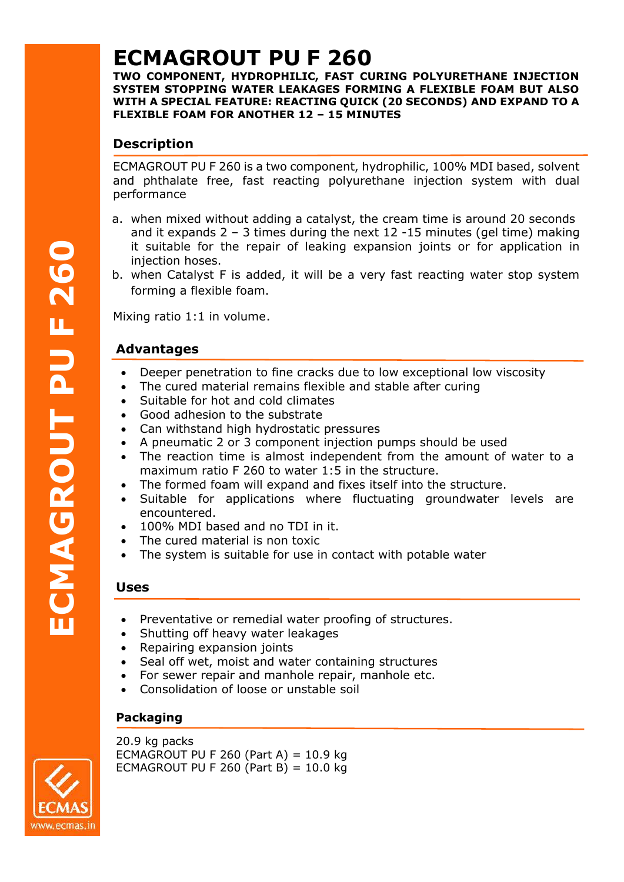# **ECMAGROUT PU F 260**

**TWO COMPONENT, HYDROPHILIC, FAST CURING POLYURETHANE INJECTION SYSTEM STOPPING WATER LEAKAGES FORMING A FLEXIBLE FOAM BUT ALSO WITH A SPECIAL FEATURE: REACTING QUICK (20 SECONDS) AND EXPAND TO A FLEXIBLE FOAM FOR ANOTHER 12 – 15 MINUTES**

# **Description**

ECMAGROUT PU F 260 is a two component, hydrophilic, 100% MDI based, solvent and phthalate free, fast reacting polyurethane injection system with dual performance

- a. when mixed without adding a catalyst, the cream time is around 20 seconds and it expands  $2 - 3$  times during the next 12 -15 minutes (gel time) making it suitable for the repair of leaking expansion joints or for application in injection hoses.
- b. when Catalyst F is added, it will be a very fast reacting water stop system forming a flexible foam.

Mixing ratio 1:1 in volume.

# **Advantages**

- Deeper penetration to fine cracks due to low exceptional low viscosity
- The cured material remains flexible and stable after curing
- Suitable for hot and cold climates
- Good adhesion to the substrate
- Can withstand high hydrostatic pressures
- A pneumatic 2 or 3 component injection pumps should be used
- The reaction time is almost independent from the amount of water to a maximum ratio F 260 to water 1:5 in the structure.
- The formed foam will expand and fixes itself into the structure.
- Suitable for applications where fluctuating groundwater levels are encountered.
- 100% MDI based and no TDI in it.
- The cured material is non toxic
- The system is suitable for use in contact with potable water

## **Uses**

- Preventative or remedial water proofing of structures.
- Shutting off heavy water leakages
- Repairing expansion joints
- Seal off wet, moist and water containing structures
- For sewer repair and manhole repair, manhole etc.
- Consolidation of loose or unstable soil

## **Packaging**

20.9 kg packs ECMAGROUT PU F 260 (Part A) =  $10.9$  kg ECMAGROUT PU F 260 (Part B) =  $10.0$  kg



**ECMAGROUT PU**

**F**

**2**

**60**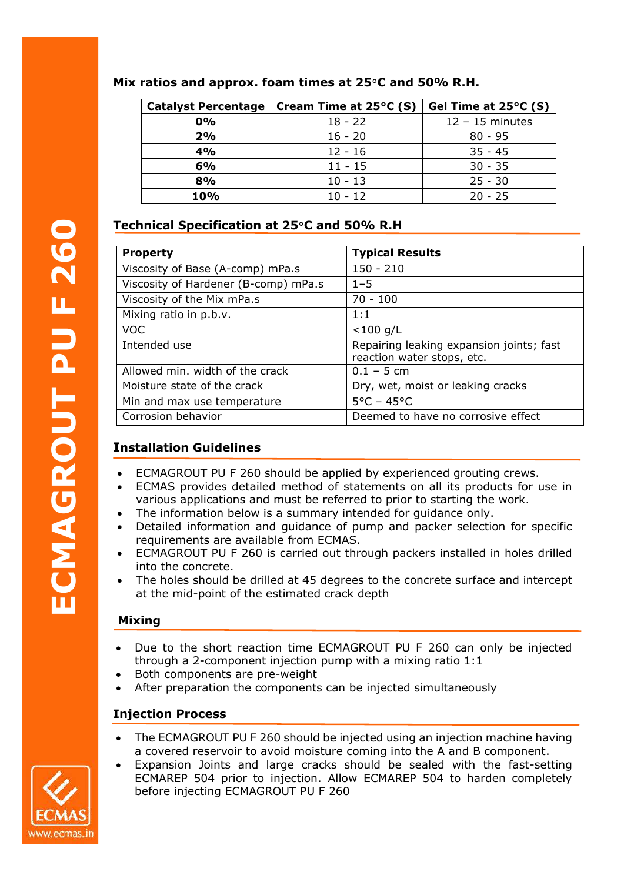| <b>Catalyst Percentage</b> | Cream Time at $25^{\circ}$ C (S) | Gel Time at 25°C (S) |
|----------------------------|----------------------------------|----------------------|
| 0%                         | $18 - 22$                        | $12 - 15$ minutes    |
| 2%                         | $16 - 20$                        | $80 - 95$            |
| 4%                         | $12 - 16$                        | $35 - 45$            |
| 6%                         | $11 - 15$                        | $30 - 35$            |
| 8%                         | $10 - 13$                        | $25 - 30$            |
| 10%                        | $10 - 12$                        | $20 - 25$            |

#### **Mix ratios and approx. foam times at 25**°**C and 50% R.H.**

# **Technical Specification at 25**°**C and 50% R.H**

| <b>Typical Results</b>                                                                                                                                                                                                                                                                                                                                                          |  |
|---------------------------------------------------------------------------------------------------------------------------------------------------------------------------------------------------------------------------------------------------------------------------------------------------------------------------------------------------------------------------------|--|
| $150 - 210$                                                                                                                                                                                                                                                                                                                                                                     |  |
| $1 - 5$                                                                                                                                                                                                                                                                                                                                                                         |  |
| $70 - 100$                                                                                                                                                                                                                                                                                                                                                                      |  |
| 1:1                                                                                                                                                                                                                                                                                                                                                                             |  |
| $< 100$ g/L                                                                                                                                                                                                                                                                                                                                                                     |  |
| Repairing leaking expansion joints; fast<br>reaction water stops, etc.                                                                                                                                                                                                                                                                                                          |  |
| $0.1 - 5$ cm                                                                                                                                                                                                                                                                                                                                                                    |  |
| Dry, wet, moist or leaking cracks                                                                                                                                                                                                                                                                                                                                               |  |
| $5^{\circ}$ C - 45°C                                                                                                                                                                                                                                                                                                                                                            |  |
| Deemed to have no corrosive effect                                                                                                                                                                                                                                                                                                                                              |  |
| ECMAGROUT PU F 260 should be applied by experienced grouting crews.<br>ECMAS provides detailed method of statements on all its products for use in<br>various applications and must be referred to prior to starting the work.<br>The information below is a summary intended for guidance only.<br>Detailed information and guidance of pump and packer selection for specific |  |
|                                                                                                                                                                                                                                                                                                                                                                                 |  |

# **Installation Guidelines**

- ECMAGROUT PU F 260 should be applied by experienced grouting crews.
- ECMAS provides detailed method of statements on all its products for use in various applications and must be referred to prior to starting the work.
- The information below is a summary intended for quidance only.
- Detailed information and guidance of pump and packer selection for specific requirements are available from ECMAS.
- ECMAGROUT PU F 260 is carried out through packers installed in holes drilled into the concrete.
- The holes should be drilled at 45 degrees to the concrete surface and intercept at the mid-point of the estimated crack depth

## **Mixing**

- Due to the short reaction time ECMAGROUT PU F 260 can only be injected through a 2-component injection pump with a mixing ratio 1:1
- Both components are pre-weight
- After preparation the components can be injected simultaneously

## **Injection Process**

- The ECMAGROUT PU F 260 should be injected using an injection machine having a covered reservoir to avoid moisture coming into the A and B component.
- Expansion Joints and large cracks should be sealed with the fast-setting ECMAREP 504 prior to injection. Allow ECMAREP 504 to harden completely before injecting ECMAGROUT PU F 260